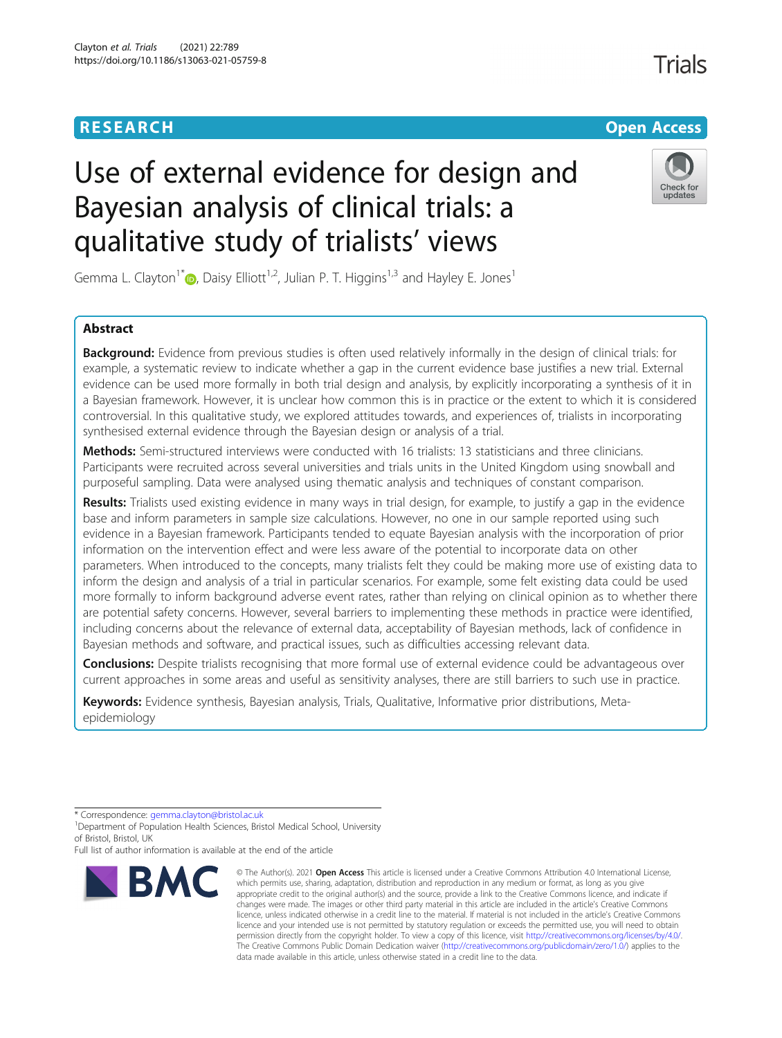## **RESEARCH CHEAR CHEAR CHEAR CHEAR CHEAR CHEAR CHEAR CHEAR CHEAR CHEAR CHEAR CHEAR CHEAR CHEAR CHEAR CHEAR CHEAR**

# Use of external evidence for design and Bayesian analysis of clinical trials: a qualitative study of trialists' views



Gemma L. Clayton<sup>1\*</sup>  $\bullet$ [,](http://orcid.org/0000-0002-9525-2758) Daisy Elliott<sup>1,2</sup>, Julian P. T. Higgins<sup>1,3</sup> and Hayley E. Jones<sup>1</sup>

### Abstract

**Background:** Evidence from previous studies is often used relatively informally in the design of clinical trials: for example, a systematic review to indicate whether a gap in the current evidence base justifies a new trial. External evidence can be used more formally in both trial design and analysis, by explicitly incorporating a synthesis of it in a Bayesian framework. However, it is unclear how common this is in practice or the extent to which it is considered controversial. In this qualitative study, we explored attitudes towards, and experiences of, trialists in incorporating synthesised external evidence through the Bayesian design or analysis of a trial.

Methods: Semi-structured interviews were conducted with 16 trialists: 13 statisticians and three clinicians. Participants were recruited across several universities and trials units in the United Kingdom using snowball and purposeful sampling. Data were analysed using thematic analysis and techniques of constant comparison.

Results: Trialists used existing evidence in many ways in trial design, for example, to justify a gap in the evidence base and inform parameters in sample size calculations. However, no one in our sample reported using such evidence in a Bayesian framework. Participants tended to equate Bayesian analysis with the incorporation of prior information on the intervention effect and were less aware of the potential to incorporate data on other parameters. When introduced to the concepts, many trialists felt they could be making more use of existing data to inform the design and analysis of a trial in particular scenarios. For example, some felt existing data could be used more formally to inform background adverse event rates, rather than relying on clinical opinion as to whether there are potential safety concerns. However, several barriers to implementing these methods in practice were identified, including concerns about the relevance of external data, acceptability of Bayesian methods, lack of confidence in Bayesian methods and software, and practical issues, such as difficulties accessing relevant data.

**Conclusions:** Despite trialists recognising that more formal use of external evidence could be advantageous over current approaches in some areas and useful as sensitivity analyses, there are still barriers to such use in practice.

Keywords: Evidence synthesis, Bayesian analysis, Trials, Qualitative, Informative prior distributions, Metaepidemiology

Full list of author information is available at the end of the article



<sup>©</sup> The Author(s), 2021 **Open Access** This article is licensed under a Creative Commons Attribution 4.0 International License, which permits use, sharing, adaptation, distribution and reproduction in any medium or format, as long as you give appropriate credit to the original author(s) and the source, provide a link to the Creative Commons licence, and indicate if changes were made. The images or other third party material in this article are included in the article's Creative Commons licence, unless indicated otherwise in a credit line to the material. If material is not included in the article's Creative Commons licence and your intended use is not permitted by statutory regulation or exceeds the permitted use, you will need to obtain permission directly from the copyright holder. To view a copy of this licence, visit [http://creativecommons.org/licenses/by/4.0/.](http://creativecommons.org/licenses/by/4.0/) The Creative Commons Public Domain Dedication waiver [\(http://creativecommons.org/publicdomain/zero/1.0/](http://creativecommons.org/publicdomain/zero/1.0/)) applies to the data made available in this article, unless otherwise stated in a credit line to the data.

<sup>\*</sup> Correspondence: [gemma.clayton@bristol.ac.uk](mailto:gemma.clayton@bristol.ac.uk) <sup>1</sup>

<sup>&</sup>lt;sup>1</sup> Department of Population Health Sciences, Bristol Medical School, University of Bristol, Bristol, UK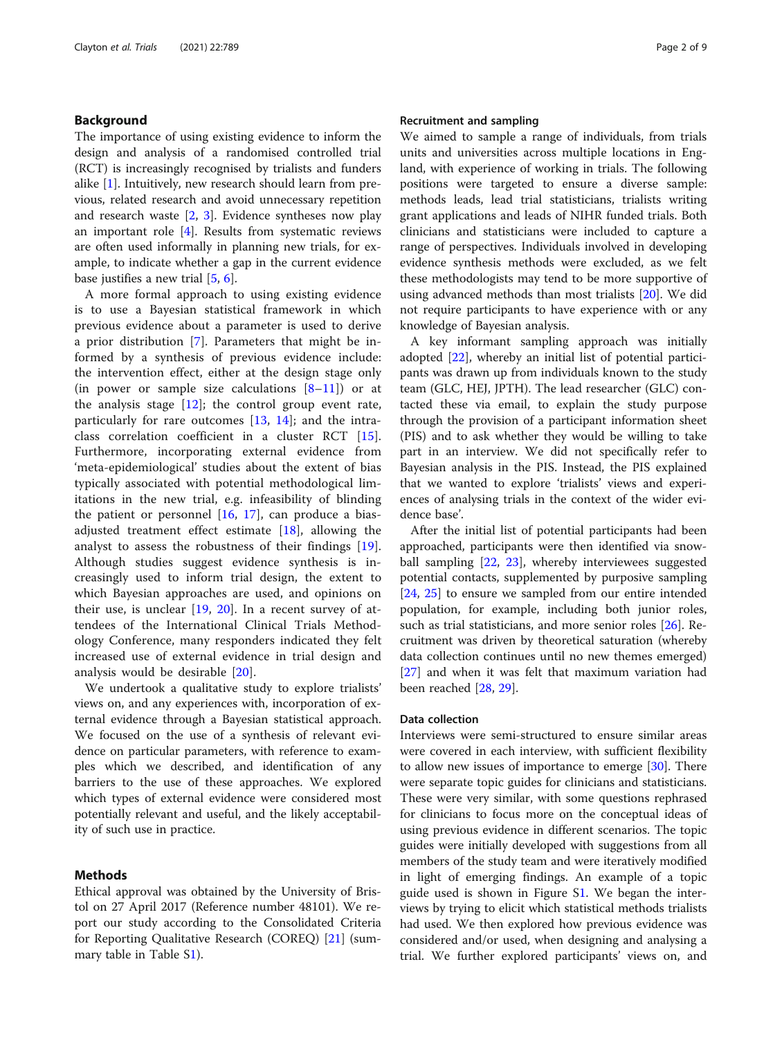#### <span id="page-1-0"></span>Background

The importance of using existing evidence to inform the design and analysis of a randomised controlled trial (RCT) is increasingly recognised by trialists and funders alike [[1](#page-7-0)]. Intuitively, new research should learn from previous, related research and avoid unnecessary repetition and research waste [[2,](#page-7-0) [3\]](#page-7-0). Evidence syntheses now play an important role [\[4](#page-7-0)]. Results from systematic reviews are often used informally in planning new trials, for example, to indicate whether a gap in the current evidence base justifies a new trial [[5](#page-7-0), [6](#page-7-0)].

A more formal approach to using existing evidence is to use a Bayesian statistical framework in which previous evidence about a parameter is used to derive a prior distribution [[7\]](#page-7-0). Parameters that might be informed by a synthesis of previous evidence include: the intervention effect, either at the design stage only (in power or sample size calculations  $[8-11]$  $[8-11]$  $[8-11]$  $[8-11]$ ) or at the analysis stage  $[12]$  $[12]$ ; the control group event rate, particularly for rare outcomes  $[13, 14]$  $[13, 14]$  $[13, 14]$  $[13, 14]$  $[13, 14]$ ; and the intraclass correlation coefficient in a cluster RCT [\[15](#page-8-0)]. Furthermore, incorporating external evidence from 'meta-epidemiological' studies about the extent of bias typically associated with potential methodological limitations in the new trial, e.g. infeasibility of blinding the patient or personnel  $[16, 17]$  $[16, 17]$  $[16, 17]$  $[16, 17]$  $[16, 17]$ , can produce a biasadjusted treatment effect estimate [[18\]](#page-8-0), allowing the analyst to assess the robustness of their findings [\[19](#page-8-0)]. Although studies suggest evidence synthesis is increasingly used to inform trial design, the extent to which Bayesian approaches are used, and opinions on their use, is unclear [[19](#page-8-0), [20](#page-8-0)]. In a recent survey of attendees of the International Clinical Trials Methodology Conference, many responders indicated they felt increased use of external evidence in trial design and analysis would be desirable [[20\]](#page-8-0).

We undertook a qualitative study to explore trialists' views on, and any experiences with, incorporation of external evidence through a Bayesian statistical approach. We focused on the use of a synthesis of relevant evidence on particular parameters, with reference to examples which we described, and identification of any barriers to the use of these approaches. We explored which types of external evidence were considered most potentially relevant and useful, and the likely acceptability of such use in practice.

#### Methods

Ethical approval was obtained by the University of Bristol on 27 April 2017 (Reference number 48101). We report our study according to the Consolidated Criteria for Reporting Qualitative Research (COREQ) [\[21\]](#page-8-0) (summary table in Table S[1\)](#page-7-0).

#### Recruitment and sampling

We aimed to sample a range of individuals, from trials units and universities across multiple locations in England, with experience of working in trials. The following positions were targeted to ensure a diverse sample: methods leads, lead trial statisticians, trialists writing grant applications and leads of NIHR funded trials. Both clinicians and statisticians were included to capture a range of perspectives. Individuals involved in developing evidence synthesis methods were excluded, as we felt these methodologists may tend to be more supportive of using advanced methods than most trialists [[20\]](#page-8-0). We did not require participants to have experience with or any knowledge of Bayesian analysis.

A key informant sampling approach was initially adopted [\[22](#page-8-0)], whereby an initial list of potential participants was drawn up from individuals known to the study team (GLC, HEJ, JPTH). The lead researcher (GLC) contacted these via email, to explain the study purpose through the provision of a participant information sheet (PIS) and to ask whether they would be willing to take part in an interview. We did not specifically refer to Bayesian analysis in the PIS. Instead, the PIS explained that we wanted to explore 'trialists' views and experiences of analysing trials in the context of the wider evidence base'.

After the initial list of potential participants had been approached, participants were then identified via snowball sampling [[22,](#page-8-0) [23](#page-8-0)], whereby interviewees suggested potential contacts, supplemented by purposive sampling [[24,](#page-8-0) [25](#page-8-0)] to ensure we sampled from our entire intended population, for example, including both junior roles, such as trial statisticians, and more senior roles [\[26](#page-8-0)]. Recruitment was driven by theoretical saturation (whereby data collection continues until no new themes emerged) [[27\]](#page-8-0) and when it was felt that maximum variation had been reached [[28,](#page-8-0) [29\]](#page-8-0).

#### Data collection

Interviews were semi-structured to ensure similar areas were covered in each interview, with sufficient flexibility to allow new issues of importance to emerge  $[30]$  $[30]$ . There were separate topic guides for clinicians and statisticians. These were very similar, with some questions rephrased for clinicians to focus more on the conceptual ideas of using previous evidence in different scenarios. The topic guides were initially developed with suggestions from all members of the study team and were iteratively modified in light of emerging findings. An example of a topic guide used is shown in Figure [S1](#page-7-0). We began the interviews by trying to elicit which statistical methods trialists had used. We then explored how previous evidence was considered and/or used, when designing and analysing a trial. We further explored participants' views on, and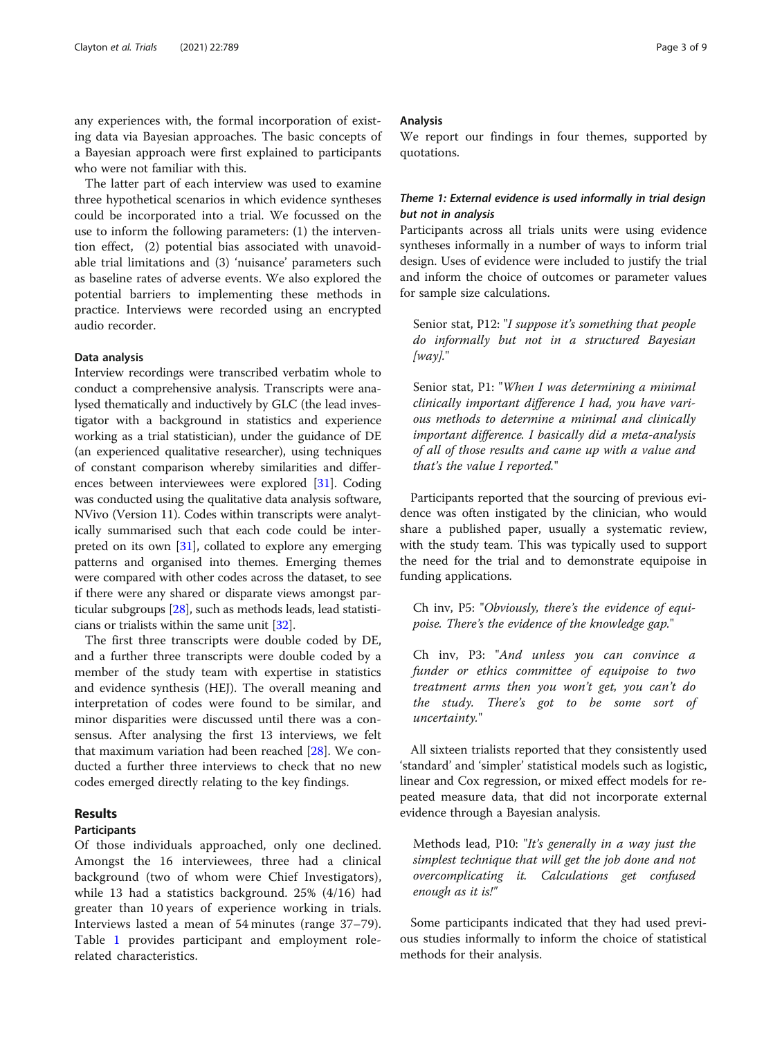any experiences with, the formal incorporation of existing data via Bayesian approaches. The basic concepts of a Bayesian approach were first explained to participants who were not familiar with this.

The latter part of each interview was used to examine three hypothetical scenarios in which evidence syntheses could be incorporated into a trial. We focussed on the use to inform the following parameters: (1) the intervention effect, (2) potential bias associated with unavoidable trial limitations and (3) 'nuisance' parameters such as baseline rates of adverse events. We also explored the potential barriers to implementing these methods in practice. Interviews were recorded using an encrypted audio recorder.

#### Data analysis

Interview recordings were transcribed verbatim whole to conduct a comprehensive analysis. Transcripts were analysed thematically and inductively by GLC (the lead investigator with a background in statistics and experience working as a trial statistician), under the guidance of DE (an experienced qualitative researcher), using techniques of constant comparison whereby similarities and differences between interviewees were explored [[31](#page-8-0)]. Coding was conducted using the qualitative data analysis software, NVivo (Version 11). Codes within transcripts were analytically summarised such that each code could be interpreted on its own [\[31\]](#page-8-0), collated to explore any emerging patterns and organised into themes. Emerging themes were compared with other codes across the dataset, to see if there were any shared or disparate views amongst particular subgroups [[28](#page-8-0)], such as methods leads, lead statisticians or trialists within the same unit [\[32\]](#page-8-0).

The first three transcripts were double coded by DE, and a further three transcripts were double coded by a member of the study team with expertise in statistics and evidence synthesis (HEJ). The overall meaning and interpretation of codes were found to be similar, and minor disparities were discussed until there was a consensus. After analysing the first 13 interviews, we felt that maximum variation had been reached [[28\]](#page-8-0). We conducted a further three interviews to check that no new codes emerged directly relating to the key findings.

#### Results

#### Participants

Of those individuals approached, only one declined. Amongst the 16 interviewees, three had a clinical background (two of whom were Chief Investigators), while 13 had a statistics background. 25% (4/16) had greater than 10 years of experience working in trials. Interviews lasted a mean of 54 minutes (range 37–79). Table [1](#page-3-0) provides participant and employment rolerelated characteristics.

#### Analysis

We report our findings in four themes, supported by quotations.

#### Theme 1: External evidence is used informally in trial design but not in analysis

Participants across all trials units were using evidence syntheses informally in a number of ways to inform trial design. Uses of evidence were included to justify the trial and inform the choice of outcomes or parameter values for sample size calculations.

Senior stat, P12: "I suppose it's something that people do informally but not in a structured Bayesian  $[way]."$ 

Senior stat, P1: "When I was determining a minimal clinically important difference I had, you have various methods to determine a minimal and clinically important difference. I basically did a meta-analysis of all of those results and came up with a value and that's the value I reported."

Participants reported that the sourcing of previous evidence was often instigated by the clinician, who would share a published paper, usually a systematic review, with the study team. This was typically used to support the need for the trial and to demonstrate equipoise in funding applications.

Ch inv, P5: "Obviously, there's the evidence of equipoise. There's the evidence of the knowledge gap."

Ch inv, P3: "And unless you can convince a funder or ethics committee of equipoise to two treatment arms then you won't get, you can't do the study. There's got to be some sort of uncertainty."

All sixteen trialists reported that they consistently used 'standard' and 'simpler' statistical models such as logistic, linear and Cox regression, or mixed effect models for repeated measure data, that did not incorporate external evidence through a Bayesian analysis.

Methods lead, P10: "It's generally in a way just the simplest technique that will get the job done and not overcomplicating it. Calculations get confused enough as it is!"

Some participants indicated that they had used previous studies informally to inform the choice of statistical methods for their analysis.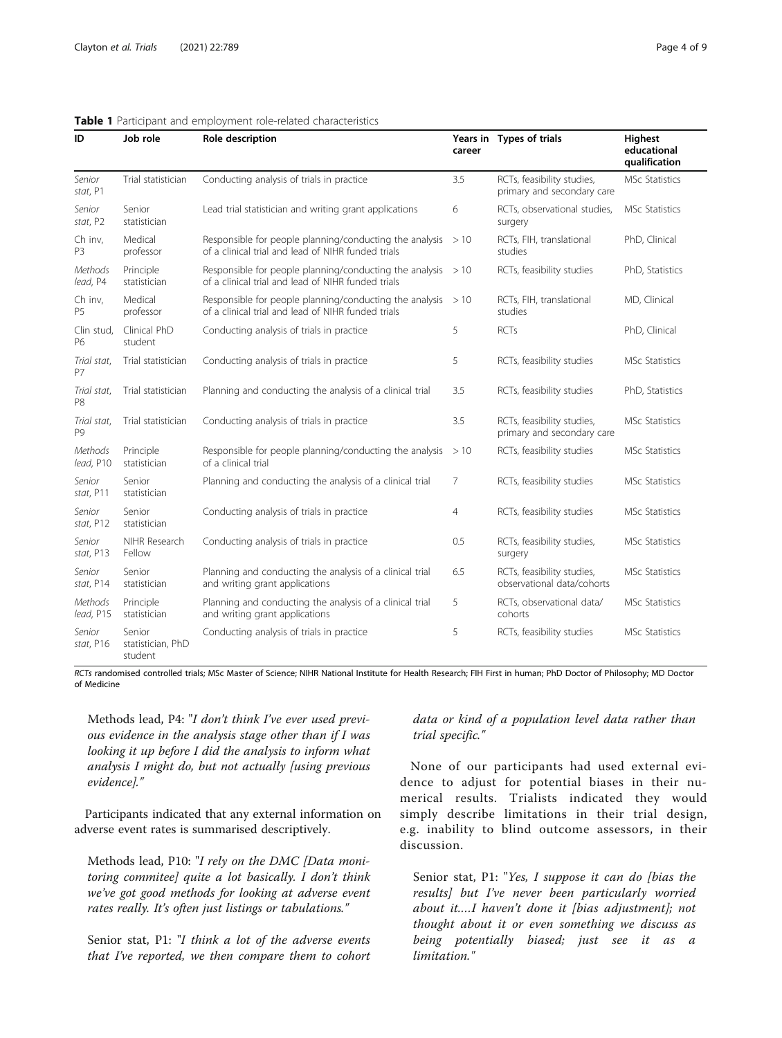| ID                            | Job role                               | Role description                                                                                              | career | Years in Types of trials                                 | <b>Highest</b><br>educational<br>qualification |
|-------------------------------|----------------------------------------|---------------------------------------------------------------------------------------------------------------|--------|----------------------------------------------------------|------------------------------------------------|
| Senior<br>stat, P1            | Trial statistician                     | Conducting analysis of trials in practice                                                                     | 3.5    | RCTs, feasibility studies,<br>primary and secondary care | MSc Statistics                                 |
| Senior<br>stat, P2            | Senior<br>statistician                 | Lead trial statistician and writing grant applications                                                        | 6      | RCTs, observational studies,<br>surgery                  | MSc Statistics                                 |
| Ch inv,<br>P3                 | Medical<br>professor                   | Responsible for people planning/conducting the analysis<br>of a clinical trial and lead of NIHR funded trials | >10    | RCTs, FIH, translational<br>studies                      | PhD, Clinical                                  |
| Methods<br>lead, P4           | Principle<br>statistician              | Responsible for people planning/conducting the analysis<br>of a clinical trial and lead of NIHR funded trials | >10    | RCTs, feasibility studies                                | PhD, Statistics                                |
| Ch inv,<br><b>P5</b>          | Medical<br>professor                   | Responsible for people planning/conducting the analysis<br>of a clinical trial and lead of NIHR funded trials | >10    | RCTs, FIH, translational<br>studies                      | MD, Clinical                                   |
| Clin stud,<br>P6              | Clinical PhD<br>student                | Conducting analysis of trials in practice                                                                     | 5      | <b>RCTs</b>                                              | PhD, Clinical                                  |
| Trial stat.<br><b>P7</b>      | Trial statistician                     | Conducting analysis of trials in practice                                                                     | 5      | RCTs, feasibility studies                                | <b>MSc Statistics</b>                          |
| Trial stat,<br>P <sub>8</sub> | Trial statistician                     | Planning and conducting the analysis of a clinical trial                                                      | 3.5    | RCTs, feasibility studies                                | PhD, Statistics                                |
| Trial stat,<br>P <sub>9</sub> | Trial statistician                     | Conducting analysis of trials in practice                                                                     | 3.5    | RCTs, feasibility studies,<br>primary and secondary care | MSc Statistics                                 |
| Methods<br>lead, P10          | Principle<br>statistician              | Responsible for people planning/conducting the analysis<br>of a clinical trial                                | >10    | RCTs, feasibility studies                                | <b>MSc Statistics</b>                          |
| Senior<br>stat, P11           | Senior<br>statistician                 | Planning and conducting the analysis of a clinical trial                                                      | 7      | RCTs, feasibility studies                                | <b>MSc Statistics</b>                          |
| Senior<br>stat, P12           | Senior<br>statistician                 | Conducting analysis of trials in practice                                                                     | 4      | RCTs, feasibility studies                                | MSc Statistics                                 |
| Senior<br>stat, P13           | NIHR Research<br>Fellow                | Conducting analysis of trials in practice                                                                     | 0.5    | RCTs, feasibility studies,<br>surgery                    | MSc Statistics                                 |
| Senior<br>stat, P14           | Senior<br>statistician                 | Planning and conducting the analysis of a clinical trial<br>and writing grant applications                    | 6.5    | RCTs, feasibility studies,<br>observational data/cohorts | MSc Statistics                                 |
| Methods<br>lead, P15          | Principle<br>statistician              | Planning and conducting the analysis of a clinical trial<br>and writing grant applications                    | 5      | RCTs, observational data/<br>cohorts                     | <b>MSc Statistics</b>                          |
| Senior<br>stat, P16           | Senior<br>statistician, PhD<br>student | Conducting analysis of trials in practice                                                                     | 5      | RCTs, feasibility studies                                | <b>MSc Statistics</b>                          |

#### <span id="page-3-0"></span>Table 1 Participant and employment role-related characteristics

RCTs randomised controlled trials; MSc Master of Science; NIHR National Institute for Health Research; FIH First in human; PhD Doctor of Philosophy; MD Doctor of Medicine

Methods lead, P4: "I don't think I've ever used previous evidence in the analysis stage other than if I was looking it up before I did the analysis to inform what analysis I might do, but not actually [using previous evidence]."

Participants indicated that any external information on adverse event rates is summarised descriptively.

Methods lead, P10: "I rely on the DMC [Data monitoring commitee] quite a lot basically. I don't think we've got good methods for looking at adverse event rates really. It's often just listings or tabulations."

Senior stat, P1: "I think a lot of the adverse events that I've reported, we then compare them to cohort

data or kind of a population level data rather than trial specific."

None of our participants had used external evidence to adjust for potential biases in their numerical results. Trialists indicated they would simply describe limitations in their trial design, e.g. inability to blind outcome assessors, in their discussion.

Senior stat, P1: "Yes, I suppose it can do [bias the results] but I've never been particularly worried about it.…I haven't done it [bias adjustment]; not thought about it or even something we discuss as being potentially biased; just see it as a limitation."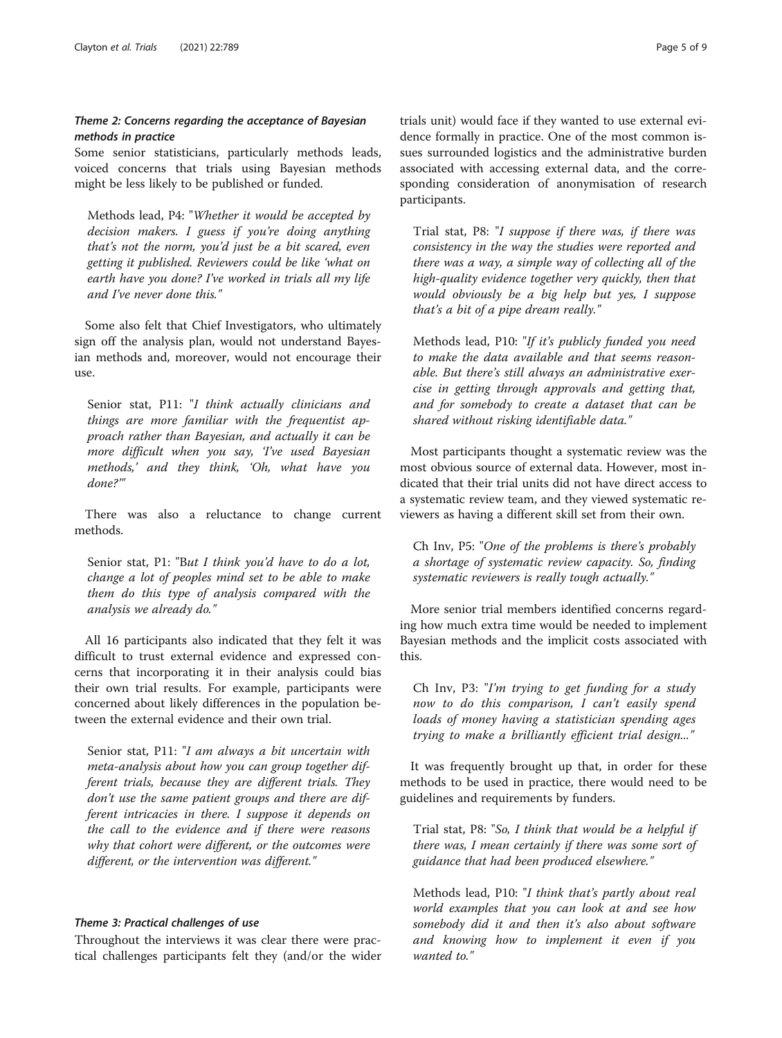#### Theme 2: Concerns regarding the acceptance of Bayesian methods in practice

Some senior statisticians, particularly methods leads, voiced concerns that trials using Bayesian methods might be less likely to be published or funded.

Methods lead, P4: "Whether it would be accepted by decision makers. I guess if you're doing anything that's not the norm, you'd just be a bit scared, even getting it published. Reviewers could be like 'what on earth have you done? I've worked in trials all my life and I've never done this."

Some also felt that Chief Investigators, who ultimately sign off the analysis plan, would not understand Bayesian methods and, moreover, would not encourage their use.

Senior stat, P11: "I think actually clinicians and things are more familiar with the frequentist approach rather than Bayesian, and actually it can be more difficult when you say, 'I've used Bayesian methods,' and they think, 'Oh, what have you done?'"

There was also a reluctance to change current methods.

Senior stat, P1: "But I think you'd have to do a lot, change a lot of peoples mind set to be able to make them do this type of analysis compared with the analysis we already do."

All 16 participants also indicated that they felt it was difficult to trust external evidence and expressed concerns that incorporating it in their analysis could bias their own trial results. For example, participants were concerned about likely differences in the population between the external evidence and their own trial.

Senior stat, P11: "I am always a bit uncertain with meta-analysis about how you can group together different trials, because they are different trials. They don't use the same patient groups and there are different intricacies in there. I suppose it depends on the call to the evidence and if there were reasons why that cohort were different, or the outcomes were different, or the intervention was different."

#### Theme 3: Practical challenges of use

Throughout the interviews it was clear there were practical challenges participants felt they (and/or the wider

trials unit) would face if they wanted to use external evidence formally in practice. One of the most common issues surrounded logistics and the administrative burden associated with accessing external data, and the corresponding consideration of anonymisation of research participants.

Trial stat, P8: "I suppose if there was, if there was consistency in the way the studies were reported and there was a way, a simple way of collecting all of the high-quality evidence together very quickly, then that would obviously be a big help but yes, I suppose that's a bit of a pipe dream really."

Methods lead, P10: "If it's publicly funded you need to make the data available and that seems reasonable. But there's still always an administrative exercise in getting through approvals and getting that, and for somebody to create a dataset that can be shared without risking identifiable data."

Most participants thought a systematic review was the most obvious source of external data. However, most indicated that their trial units did not have direct access to a systematic review team, and they viewed systematic reviewers as having a different skill set from their own.

Ch Inv, P5: "One of the problems is there's probably a shortage of systematic review capacity. So, finding systematic reviewers is really tough actually."

More senior trial members identified concerns regarding how much extra time would be needed to implement Bayesian methods and the implicit costs associated with this.

Ch Inv, P3: "I'm trying to get funding for a study now to do this comparison, I can't easily spend loads of money having a statistician spending ages trying to make a brilliantly efficient trial design..."

It was frequently brought up that, in order for these methods to be used in practice, there would need to be guidelines and requirements by funders.

Trial stat, P8: "So, I think that would be a helpful if there was, I mean certainly if there was some sort of guidance that had been produced elsewhere."

Methods lead, P10: "I think that's partly about real world examples that you can look at and see how somebody did it and then it's also about software and knowing how to implement it even if you wanted to."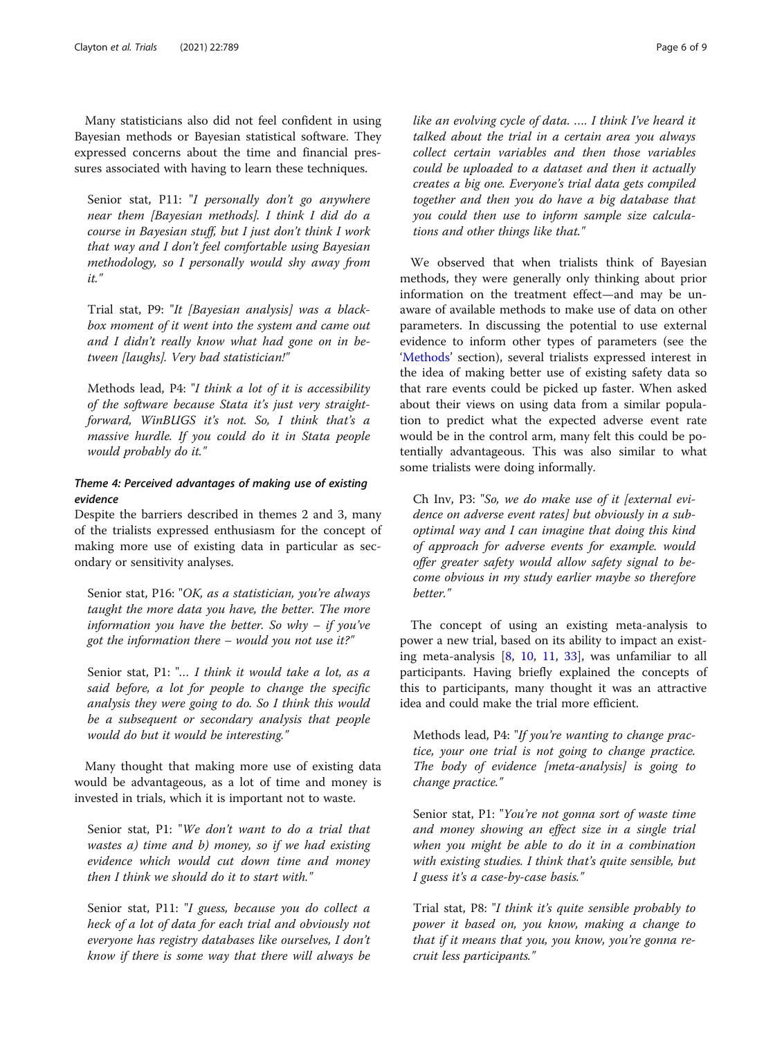Many statisticians also did not feel confident in using Bayesian methods or Bayesian statistical software. They expressed concerns about the time and financial pressures associated with having to learn these techniques.

Senior stat, P11: "I personally don't go anywhere near them [Bayesian methods]. I think I did do a course in Bayesian stuff, but I just don't think I work that way and I don't feel comfortable using Bayesian methodology, so I personally would shy away from it."

Trial stat, P9: "It [Bayesian analysis] was a blackbox moment of it went into the system and came out and I didn't really know what had gone on in between [laughs]. Very bad statistician!"

Methods lead, P4: "I think a lot of it is accessibility of the software because Stata it's just very straightforward, WinBUGS it's not. So, I think that's a massive hurdle. If you could do it in Stata people would probably do it."

#### Theme 4: Perceived advantages of making use of existing evidence

Despite the barriers described in themes 2 and 3, many of the trialists expressed enthusiasm for the concept of making more use of existing data in particular as secondary or sensitivity analyses.

Senior stat, P16: "OK, as a statistician, you're always taught the more data you have, the better. The more information you have the better. So why  $-$  if you've got the information there – would you not use it?"

Senior stat, P1: "... I think it would take a lot, as a said before, a lot for people to change the specific analysis they were going to do. So I think this would be a subsequent or secondary analysis that people would do but it would be interesting."

Many thought that making more use of existing data would be advantageous, as a lot of time and money is invested in trials, which it is important not to waste.

Senior stat, P1: "We don't want to do a trial that wastes a) time and b) money, so if we had existing evidence which would cut down time and money then I think we should do it to start with."

Senior stat, P11: "I guess, because you do collect a heck of a lot of data for each trial and obviously not everyone has registry databases like ourselves, I don't know if there is some way that there will always be

like an evolving cycle of data. …. I think I've heard it talked about the trial in a certain area you always collect certain variables and then those variables could be uploaded to a dataset and then it actually creates a big one. Everyone's trial data gets compiled together and then you do have a big database that you could then use to inform sample size calculations and other things like that."

We observed that when trialists think of Bayesian methods, they were generally only thinking about prior information on the treatment effect—and may be unaware of available methods to make use of data on other parameters. In discussing the potential to use external evidence to inform other types of parameters (see the '[Methods](#page-1-0)' section), several trialists expressed interest in the idea of making better use of existing safety data so that rare events could be picked up faster. When asked about their views on using data from a similar population to predict what the expected adverse event rate would be in the control arm, many felt this could be potentially advantageous. This was also similar to what some trialists were doing informally.

Ch Inv, P3: "So, we do make use of it [external evidence on adverse event rates] but obviously in a suboptimal way and I can imagine that doing this kind of approach for adverse events for example. would offer greater safety would allow safety signal to become obvious in my study earlier maybe so therefore better."

The concept of using an existing meta-analysis to power a new trial, based on its ability to impact an existing meta-analysis  $[8, 10, 11, 33]$  $[8, 10, 11, 33]$  $[8, 10, 11, 33]$  $[8, 10, 11, 33]$  $[8, 10, 11, 33]$  $[8, 10, 11, 33]$  $[8, 10, 11, 33]$  $[8, 10, 11, 33]$ , was unfamiliar to all participants. Having briefly explained the concepts of this to participants, many thought it was an attractive idea and could make the trial more efficient.

Methods lead, P4: "If you're wanting to change practice, your one trial is not going to change practice. The body of evidence [meta-analysis] is going to change practice."

Senior stat, P1: "You're not gonna sort of waste time and money showing an effect size in a single trial when you might be able to do it in a combination with existing studies. I think that's quite sensible, but I guess it's a case-by-case basis."

Trial stat, P8: "I think it's quite sensible probably to power it based on, you know, making a change to that if it means that you, you know, you're gonna recruit less participants."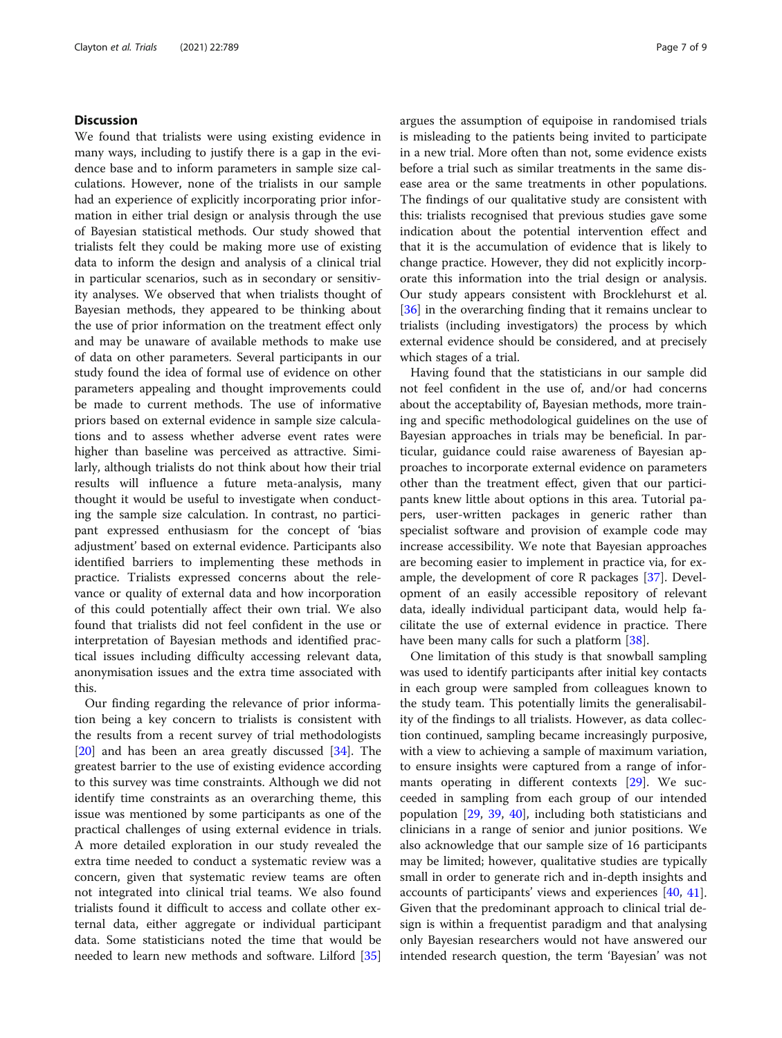#### **Discussion**

We found that trialists were using existing evidence in many ways, including to justify there is a gap in the evidence base and to inform parameters in sample size calculations. However, none of the trialists in our sample had an experience of explicitly incorporating prior information in either trial design or analysis through the use of Bayesian statistical methods. Our study showed that trialists felt they could be making more use of existing data to inform the design and analysis of a clinical trial in particular scenarios, such as in secondary or sensitivity analyses. We observed that when trialists thought of Bayesian methods, they appeared to be thinking about the use of prior information on the treatment effect only and may be unaware of available methods to make use of data on other parameters. Several participants in our study found the idea of formal use of evidence on other parameters appealing and thought improvements could be made to current methods. The use of informative priors based on external evidence in sample size calculations and to assess whether adverse event rates were higher than baseline was perceived as attractive. Similarly, although trialists do not think about how their trial results will influence a future meta-analysis, many thought it would be useful to investigate when conducting the sample size calculation. In contrast, no participant expressed enthusiasm for the concept of 'bias adjustment' based on external evidence. Participants also identified barriers to implementing these methods in practice. Trialists expressed concerns about the relevance or quality of external data and how incorporation of this could potentially affect their own trial. We also found that trialists did not feel confident in the use or interpretation of Bayesian methods and identified practical issues including difficulty accessing relevant data, anonymisation issues and the extra time associated with this.

Our finding regarding the relevance of prior information being a key concern to trialists is consistent with the results from a recent survey of trial methodologists [[20\]](#page-8-0) and has been an area greatly discussed [\[34](#page-8-0)]. The greatest barrier to the use of existing evidence according to this survey was time constraints. Although we did not identify time constraints as an overarching theme, this issue was mentioned by some participants as one of the practical challenges of using external evidence in trials. A more detailed exploration in our study revealed the extra time needed to conduct a systematic review was a concern, given that systematic review teams are often not integrated into clinical trial teams. We also found trialists found it difficult to access and collate other external data, either aggregate or individual participant data. Some statisticians noted the time that would be needed to learn new methods and software. Lilford [[35](#page-8-0)]

argues the assumption of equipoise in randomised trials is misleading to the patients being invited to participate in a new trial. More often than not, some evidence exists before a trial such as similar treatments in the same disease area or the same treatments in other populations. The findings of our qualitative study are consistent with this: trialists recognised that previous studies gave some indication about the potential intervention effect and that it is the accumulation of evidence that is likely to change practice. However, they did not explicitly incorporate this information into the trial design or analysis. Our study appears consistent with Brocklehurst et al. [[36\]](#page-8-0) in the overarching finding that it remains unclear to trialists (including investigators) the process by which external evidence should be considered, and at precisely which stages of a trial.

Having found that the statisticians in our sample did not feel confident in the use of, and/or had concerns about the acceptability of, Bayesian methods, more training and specific methodological guidelines on the use of Bayesian approaches in trials may be beneficial. In particular, guidance could raise awareness of Bayesian approaches to incorporate external evidence on parameters other than the treatment effect, given that our participants knew little about options in this area. Tutorial papers, user-written packages in generic rather than specialist software and provision of example code may increase accessibility. We note that Bayesian approaches are becoming easier to implement in practice via, for example, the development of core R packages [\[37](#page-8-0)]. Development of an easily accessible repository of relevant data, ideally individual participant data, would help facilitate the use of external evidence in practice. There have been many calls for such a platform [[38](#page-8-0)].

One limitation of this study is that snowball sampling was used to identify participants after initial key contacts in each group were sampled from colleagues known to the study team. This potentially limits the generalisability of the findings to all trialists. However, as data collection continued, sampling became increasingly purposive, with a view to achieving a sample of maximum variation, to ensure insights were captured from a range of informants operating in different contexts [[29](#page-8-0)]. We succeeded in sampling from each group of our intended population [\[29,](#page-8-0) [39,](#page-8-0) [40\]](#page-8-0), including both statisticians and clinicians in a range of senior and junior positions. We also acknowledge that our sample size of 16 participants may be limited; however, qualitative studies are typically small in order to generate rich and in-depth insights and accounts of participants' views and experiences [[40,](#page-8-0) [41](#page-8-0)]. Given that the predominant approach to clinical trial design is within a frequentist paradigm and that analysing only Bayesian researchers would not have answered our intended research question, the term 'Bayesian' was not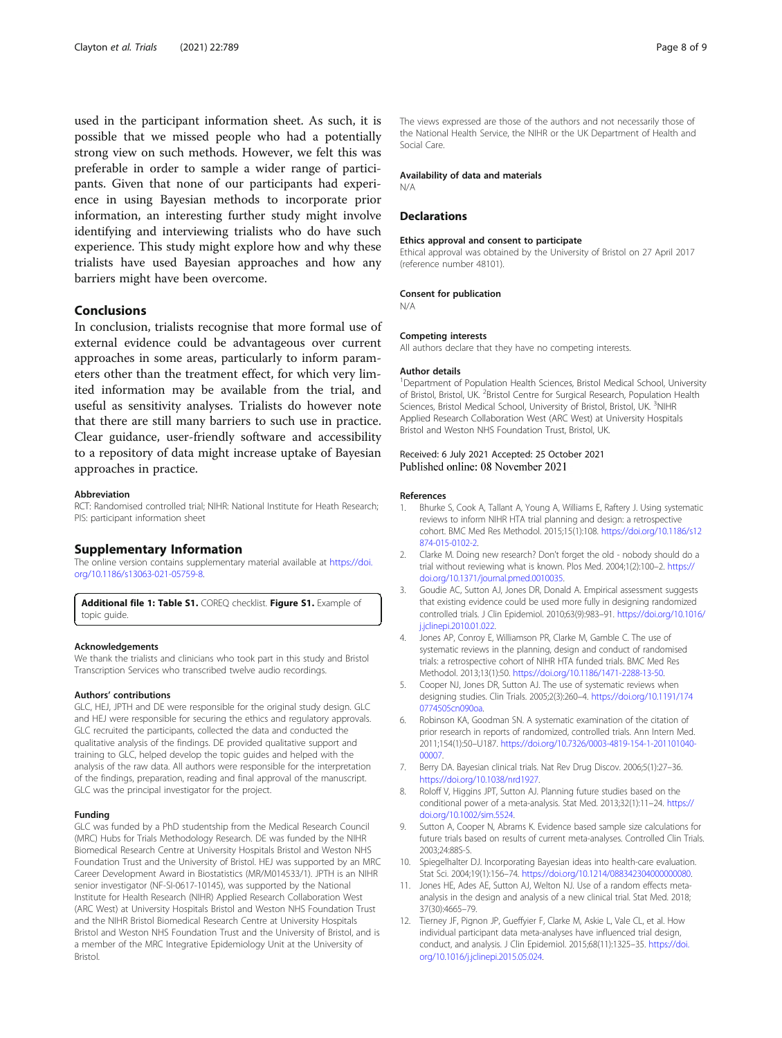<span id="page-7-0"></span>used in the participant information sheet. As such, it is possible that we missed people who had a potentially strong view on such methods. However, we felt this was preferable in order to sample a wider range of participants. Given that none of our participants had experience in using Bayesian methods to incorporate prior information, an interesting further study might involve identifying and interviewing trialists who do have such experience. This study might explore how and why these trialists have used Bayesian approaches and how any barriers might have been overcome.

#### Conclusions

In conclusion, trialists recognise that more formal use of external evidence could be advantageous over current approaches in some areas, particularly to inform parameters other than the treatment effect, for which very limited information may be available from the trial, and useful as sensitivity analyses. Trialists do however note that there are still many barriers to such use in practice. Clear guidance, user-friendly software and accessibility to a repository of data might increase uptake of Bayesian approaches in practice.

#### Abbreviation

RCT: Randomised controlled trial; NIHR: National Institute for Heath Research; PIS: participant information sheet

#### Supplementary Information

The online version contains supplementary material available at [https://doi.](https://doi.org/10.1186/s13063-021-05759-8) [org/10.1186/s13063-021-05759-8.](https://doi.org/10.1186/s13063-021-05759-8)

Additional file 1: Table S1. COREQ checklist. Figure S1. Example of topic guide.

#### Acknowledgements

We thank the trialists and clinicians who took part in this study and Bristol Transcription Services who transcribed twelve audio recordings.

#### Authors' contributions

GLC, HEJ, JPTH and DE were responsible for the original study design. GLC and HEJ were responsible for securing the ethics and regulatory approvals. GLC recruited the participants, collected the data and conducted the qualitative analysis of the findings. DE provided qualitative support and training to GLC, helped develop the topic guides and helped with the analysis of the raw data. All authors were responsible for the interpretation of the findings, preparation, reading and final approval of the manuscript. GLC was the principal investigator for the project.

#### Funding

GLC was funded by a PhD studentship from the Medical Research Council (MRC) Hubs for Trials Methodology Research. DE was funded by the NIHR Biomedical Research Centre at University Hospitals Bristol and Weston NHS Foundation Trust and the University of Bristol. HEJ was supported by an MRC Career Development Award in Biostatistics (MR/M014533/1). JPTH is an NIHR senior investigator (NF-SI-0617-10145), was supported by the National Institute for Health Research (NIHR) Applied Research Collaboration West (ARC West) at University Hospitals Bristol and Weston NHS Foundation Trust and the NIHR Bristol Biomedical Research Centre at University Hospitals Bristol and Weston NHS Foundation Trust and the University of Bristol, and is a member of the MRC Integrative Epidemiology Unit at the University of Bristol.

The views expressed are those of the authors and not necessarily those of the National Health Service, the NIHR or the UK Department of Health and Social Care.

#### Availability of data and materials

**Declarations** 

N/A

#### Ethics approval and consent to participate

Ethical approval was obtained by the University of Bristol on 27 April 2017 (reference number 48101).

#### Consent for publication

N/A

#### Competing interests

All authors declare that they have no competing interests.

#### Author details

<sup>1</sup>Department of Population Health Sciences, Bristol Medical School, University of Bristol, Bristol, UK. <sup>2</sup> Bristol Centre for Surgical Research, Population Health Sciences, Bristol Medical School, University of Bristol, Bristol, UK. <sup>3</sup>NIHR Applied Research Collaboration West (ARC West) at University Hospitals Bristol and Weston NHS Foundation Trust, Bristol, UK.

#### Received: 6 July 2021 Accepted: 25 October 2021 Published online: 08 November 2021

#### References

- 1. Bhurke S, Cook A, Tallant A, Young A, Williams E, Raftery J. Using systematic reviews to inform NIHR HTA trial planning and design: a retrospective cohort. BMC Med Res Methodol. 2015;15(1):108. [https://doi.org/10.1186/s12](https://doi.org/10.1186/s12874-015-0102-2) [874-015-0102-2.](https://doi.org/10.1186/s12874-015-0102-2)
- 2. Clarke M. Doing new research? Don't forget the old nobody should do a trial without reviewing what is known. Plos Med. 2004;1(2):100–2. [https://](https://doi.org/10.1371/journal.pmed.0010035) [doi.org/10.1371/journal.pmed.0010035.](https://doi.org/10.1371/journal.pmed.0010035)
- 3. Goudie AC, Sutton AJ, Jones DR, Donald A. Empirical assessment suggests that existing evidence could be used more fully in designing randomized controlled trials. J Clin Epidemiol. 2010;63(9):983–91. [https://doi.org/10.1016/](https://doi.org/10.1016/j.jclinepi.2010.01.022) [j.jclinepi.2010.01.022.](https://doi.org/10.1016/j.jclinepi.2010.01.022)
- 4. Jones AP, Conroy E, Williamson PR, Clarke M, Gamble C. The use of systematic reviews in the planning, design and conduct of randomised trials: a retrospective cohort of NIHR HTA funded trials. BMC Med Res Methodol. 2013;13(1):50. <https://doi.org/10.1186/1471-2288-13-50>.
- Cooper NJ, Jones DR, Sutton AJ. The use of systematic reviews when designing studies. Clin Trials. 2005;2(3):260–4. [https://doi.org/10.1191/174](https://doi.org/10.1191/1740774505cn090oa) [0774505cn090oa.](https://doi.org/10.1191/1740774505cn090oa)
- 6. Robinson KA, Goodman SN. A systematic examination of the citation of prior research in reports of randomized, controlled trials. Ann Intern Med. 2011;154(1):50–U187. [https://doi.org/10.7326/0003-4819-154-1-201101040-](https://doi.org/10.7326/0003-4819-154-1-201101040-00007) [00007.](https://doi.org/10.7326/0003-4819-154-1-201101040-00007)
- 7. Berry DA. Bayesian clinical trials. Nat Rev Drug Discov. 2006;5(1):27–36. <https://doi.org/10.1038/nrd1927>.
- 8. Roloff V, Higgins JPT, Sutton AJ. Planning future studies based on the conditional power of a meta-analysis. Stat Med. 2013;32(1):11–24. [https://](https://doi.org/10.1002/sim.5524) [doi.org/10.1002/sim.5524](https://doi.org/10.1002/sim.5524).
- Sutton A, Cooper N, Abrams K. Evidence based sample size calculations for future trials based on results of current meta-analyses. Controlled Clin Trials. 2003;24:88S-S.
- 10. Spiegelhalter DJ. Incorporating Bayesian ideas into health-care evaluation. Stat Sci. 2004;19(1):156–74. <https://doi.org/10.1214/088342304000000080>.
- 11. Jones HE, Ades AE, Sutton AJ, Welton NJ. Use of a random effects metaanalysis in the design and analysis of a new clinical trial. Stat Med. 2018; 37(30):4665–79.
- 12. Tierney JF, Pignon JP, Gueffyier F, Clarke M, Askie L, Vale CL, et al. How individual participant data meta-analyses have influenced trial design, conduct, and analysis. J Clin Epidemiol. 2015;68(11):1325–35. [https://doi.](https://doi.org/10.1016/j.jclinepi.2015.05.024) [org/10.1016/j.jclinepi.2015.05.024](https://doi.org/10.1016/j.jclinepi.2015.05.024).